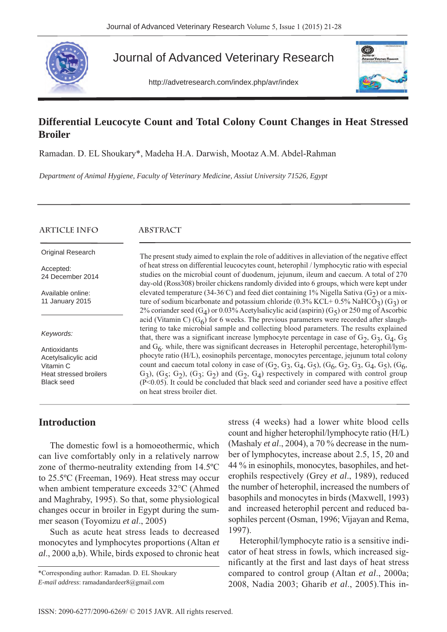

# Journal of Advanced Veterinary Research

http://advetresearch.com/index.php/avr/index



# **Differential Leucocyte Count and Total Colony Count Changes in Heat Stressed Broiler**

Ramadan. D. EL Shoukary\*, Madeha H.A. Darwish, Mootaz A.M. Abdel-Rahman

*Department of Animal Hygiene, Faculty of Veterinary Medicine, Assiut University 71526, Egypt*

| <b>ARTICLE INFO</b>                                                         | ABSTRACT                                                                                                                                                                                                                                                                                                                                                                                                     |
|-----------------------------------------------------------------------------|--------------------------------------------------------------------------------------------------------------------------------------------------------------------------------------------------------------------------------------------------------------------------------------------------------------------------------------------------------------------------------------------------------------|
| Original Research                                                           | The present study aimed to explain the role of additives in alleviation of the negative effect                                                                                                                                                                                                                                                                                                               |
| Accepted:<br>24 December 2014                                               | of heat stress on differential leucocytes count, heterophil / lymphocytic ratio with especial<br>studies on the microbial count of duodenum, jejunum, ileum and caecum. A total of 270<br>day-old (Ross308) broiler chickens randomly divided into 6 groups, which were kept under                                                                                                                           |
| Available online:<br>11 January 2015                                        | elevated temperature (34-36°C) and feed diet containing 1% Nigella Sativa (G <sub>2</sub> ) or a mix-<br>ture of sodium bicarbonate and potassium chloride (0.3% KCL+ 0.5% NaHCO <sub>3</sub> ) (G <sub>3</sub> ) or<br>2% coriander seed (G <sub>4</sub> ) or 0.03% Acetylsalicylic acid (aspirin) (G <sub>5</sub> ) or 250 mg of Ascorbic                                                                  |
| Keywords:                                                                   | acid (Vitamin C) $(G6)$ for 6 weeks. The previous parameters were recorded after slaugh-<br>tering to take microbial sample and collecting blood parameters. The results explained<br>that, there was a significant increase lymphocyte percentage in case of $G_2$ , $G_3$ , $G_4$ , $G_5$                                                                                                                  |
| Antioxidants<br>Acetylsalicylic acid<br>Vitamin C<br>Heat stressed broilers | and $G_6$ , while, there was significant decreases in Heterophil percentage, heterophil/lym-<br>phocyte ratio (H/L), eosinophils percentage, monocytes percentage, jejunum total colony<br>count and caecum total colony in case of $(G_2, G_3, G_4, G_5)$ , $(G_6, G_2, G_3, G_4, G_5)$ , $(G_6, G_7)$<br>$G_3$ ), $(G_5; G_2)$ , $(G_3; G_2)$ and $(G_2, G_4)$ respectively in compared with control group |
| <b>Black seed</b>                                                           | $(P<0.05)$ . It could be concluded that black seed and coriander seed have a positive effect<br>on heat stress broiler diet.                                                                                                                                                                                                                                                                                 |

## **Introduction**

The domestic fowl is a homoeothermic, which can live comfortably only in a relatively narrow zone of thermo-neutrality extending from 14.5ºC to 25.5ºC (Freeman, 1969). Heat stress may occur when ambient temperature exceeds 32°C (Ahmed and Maghraby, 1995). So that, some physiological changes occur in broiler in Egypt during the summer season (Toyomizu *et al*., 2005)

Such as acute heat stress leads to decreased monocytes and lymphocytes proportions (Altan *et al*., 2000 a,b). While, birds exposed to chronic heat

\*Corresponding author: Ramadan. D. EL Shoukary *E-mail address*: ramadandardeer8@gmail.com

stress (4 weeks) had a lower white blood cells count and higher heterophil/lymphocyte ratio (H/L) (Mashaly *et al*., 2004), a 70 % decrease in the number of lymphocytes, increase about 2.5, 15, 20 and 44 % in esinophils, monocytes, basophiles, and heterophils respectively (Grey *et al*., 1989), reduced the number of heterophil, increased the numbers of basophils and monocytes in birds (Maxwell, 1993) and increased heterophil percent and reduced basophiles percent (Osman, 1996; Vijayan and Rema, 1997).

Heterophil/lymphocyte ratio is a sensitive indicator of heat stress in fowls, which increased significantly at the first and last days of heat stress compared to control group (Altan *et al*., 2000a; 2008, Nadia 2003; Gharib *et al*., 2005).This in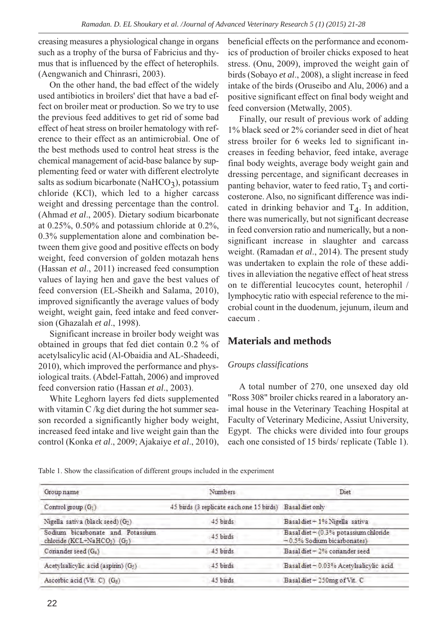creasing measures a physiological change in organs such as a trophy of the bursa of Fabricius and thymus that is influenced by the effect of heterophils. (Aengwanich and Chinrasri, 2003).

On the other hand, the bad effect of the widely used antibiotics in broilers' diet that have a bad effect on broiler meat or production. So we try to use the previous feed additives to get rid of some bad effect of heat stress on broiler hematology with reference to their effect as an antimicrobial. One of the best methods used to control heat stress is the chemical management of acid-base balance by supplementing feed or water with different electrolyte salts as sodium bicarbonate (NaHCO<sub>3</sub>), potassium chloride (KCl), which led to a higher carcass weight and dressing percentage than the control. (Ahmad *et al*., 2005). Dietary sodium bicarbonate at 0.25%, 0.50% and potassium chloride at 0.2%, 0.3% supplementation alone and combination between them give good and positive effects on body weight, feed conversion of golden motazah hens (Hassan *et al*., 2011) increased feed consumption values of laying hen and gave the best values of feed conversion (EL-Sheikh and Salama, 2010), improved significantly the average values of body weight, weight gain, feed intake and feed conversion (Ghazalah *et al*., 1998).

Significant increase in broiler body weight was obtained in groups that fed diet contain 0.2 % of acetylsalicylic acid (Al-Obaidia and AL-Shadeedi, 2010), which improved the performance and physiological traits. (Abdel-Fattah, 2006) and improved feed conversion ratio (Hassan *et al*., 2003).

White Leghorn layers fed diets supplemented with vitamin C /kg diet during the hot summer season recorded a significantly higher body weight, increased feed intake and live weight gain than the control (Konka *et al*., 2009; Ajakaiye *et al*., 2010), beneficial effects on the performance and economics of production of broiler chicks exposed to heat stress. (Onu, 2009), improved the weight gain of birds (Sobayo *et al*., 2008), a slight increase in feed intake of the birds (Oruseibo and Alu, 2006) and a positive significant effect on final body weight and feed conversion (Metwally, 2005).

Finally, our result of previous work of adding 1% black seed or 2% coriander seed in diet of heat stress broiler for 6 weeks led to significant increases in feeding behavior, feed intake, average final body weights, average body weight gain and dressing percentage, and significant decreases in panting behavior, water to feed ratio,  $T_3$  and corticosterone. Also, no significant difference was indicated in drinking behavior and  $T<sub>4</sub>$ . In addition, there was numerically, but not significant decrease in feed conversion ratio and numerically, but a nonsignificant increase in slaughter and carcass weight. (Ramadan *et al*., 2014). The present study was undertaken to explain the role of these additives in alleviation the negative effect of heat stress on te differential leucocytes count, heterophil / lymphocytic ratio with especial reference to the microbial count in the duodenum, jejunum, ileum and caecum .

## **Materials and methods**

#### *Groups classifications*

A total number of 270, one unsexed day old "Ross 308" broiler chicks reared in a laboratory animal house in the Veterinary Teaching Hospital at Faculty of Veterinary Medicine, Assiut University, Egypt. The chicks were divided into four groups each one consisted of 15 birds/ replicate (Table 1).

Table 1. Show the classification of different groups included in the experiment

| Group name                                                     | Numbers                                                  | Diet                                                                     |  |
|----------------------------------------------------------------|----------------------------------------------------------|--------------------------------------------------------------------------|--|
| Control group (G1)                                             | 45 birds (3 replicate each one 15 birds) Basal diet only |                                                                          |  |
| Nigella sativa (black seed) (G2)                               | 45 birds                                                 | Basal diet + 1% Nigella sativa                                           |  |
| Sodium bicarbonate and Potassium<br>chloride (KCL+NaHCO3) (G3) | 45 birds                                                 | Basal diet $+$ (0.3% potassium chloride<br>$-0.5\%$ Sodium bicarbonates) |  |
| Coriander seed (G2)                                            | 45 birds                                                 | Basal diet $\pm$ 2% conander seed                                        |  |
| Acetylsalicylic acid (aspirin) (G5)                            | 45 birds                                                 | Basal diet - 0.03% Acetylsalicylic acid                                  |  |
| Ascorbic acid (Vit. C) $(G6)$                                  | 45 birds                                                 | Basal diet - 250mg of Vit. C                                             |  |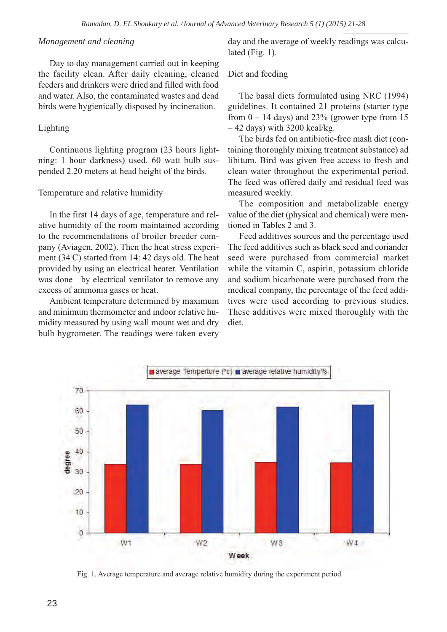#### *Management and cleaning*

Day to day management carried out in keeping the facility clean. After daily cleaning, cleaned feeders and drinkers were dried and filled with food and water. Also, the contaminated wastes and dead birds were hygienically disposed by incineration.

#### Lighting

Continuous lighting program (23 hours lightning: 1 hour darkness) used. 60 watt bulb suspended 2.20 meters at head height of the birds.

#### Temperature and relative humidity

In the first 14 days of age, temperature and relative humidity of the room maintained according to the recommendations of broiler breeder company (Aviagen, 2002). Then the heat stress experiment (34◦ C) started from 14: 42 days old. The heat provided by using an electrical heater. Ventilation was done by electrical ventilator to remove any excess of ammonia gases or heat.

Ambient temperature determined by maximum and minimum thermometer and indoor relative humidity measured by using wall mount wet and dry bulb hygrometer. The readings were taken every

day and the average of weekly readings was calculated (Fig. 1).

#### Diet and feeding

The basal diets formulated using NRC (1994) guidelines. It contained 21 proteins (starter type from  $0 - 14$  days) and 23% (grower type from 15  $-42$  days) with 3200 kcal/kg.

The birds fed on antibiotic-free mash diet (containing thoroughly mixing treatment substance) ad libitum. Bird was given free access to fresh and clean water throughout the experimental period. The feed was offered daily and residual feed was measured weekly.

The composition and metabolizable energy value of the diet (physical and chemical) were mentioned in Tables 2 and 3.

Feed additives sources and the percentage used The feed additives such as black seed and coriander seed were purchased from commercial market while the vitamin C, aspirin, potassium chloride and sodium bicarbonate were purchased from the medical company, the percentage of the feed additives were used according to previous studies. These additives were mixed thoroughly with the diet.



Fig. 1. Average temperature and average relative humidity during the experiment period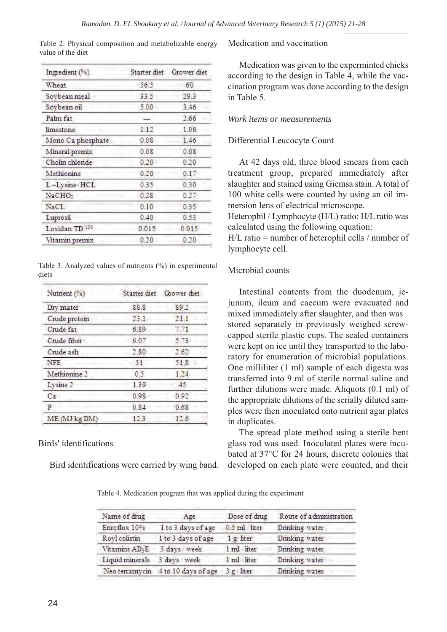| Ingredient (%)    |       | Starter diet Grower diet |  |
|-------------------|-------|--------------------------|--|
| Wheat             | 56.5  | 60                       |  |
| Soybean meal      | 33.5  | 29.3                     |  |
| Soybean oil       | 5.00  | 3.46                     |  |
| Palm fat          |       | 2.66                     |  |
| <i>limestone</i>  | 1.12  | 1.06                     |  |
| Mono Ca phosphate | 0.08  | 1.46                     |  |
| Mineral premix    | 0.08  | 0.08                     |  |
| Cholin chloride   | 0.20  | 0.20                     |  |
| Methionine        | 0.20  | 0.17                     |  |
| L-Lysine-HCL      | 0.35  | 0.30                     |  |
| NaCHO:            | 0.28  | 0.27                     |  |
| NaCL              | 0.10  | 0.35                     |  |
| Luprosil          | 0.40  | 0.53                     |  |
| Loxidan TD 100    | 0.015 | 0.015                    |  |
| Vitamin premix    | 0.20  | 0.20                     |  |
|                   |       |                          |  |

Table 2. Physical composition and metabolizable energy value of the diet

Table 3. Analyzed values of nutrients (%) in experimental diets

| Nutrient (%)  |      | Starter diet Grower diet |
|---------------|------|--------------------------|
| Dry mater     | 88.8 | 89.2                     |
| Crude protein | 23.1 | 21.1                     |
| Crude fat     | 6.89 | 7.71                     |
| Crude fiber   | 6.07 | 5.73                     |
| Crude ash     | 2.80 | 2.62                     |
| NFE           | -51  | 51.8                     |
| Methionine 2  | 0.5  | 1.24                     |
| Lysine 2      | 1.39 | 49                       |
| Ca            | 0.98 | 0.92                     |
| P             | 0.84 | 0.68                     |
| ME (MJ kg DM) | 12.3 | 12.6                     |
|               |      |                          |

### Birds' identifications

Bird identifications were carried by wing band.

Medication and vaccination

Medication was given to the experminted chicks according to the design in Table 4, while the vaccination program was done according to the design in Table 5.

### *Work items or measurements*

### Differential Leucocyte Count

At 42 days old, three blood smears from each treatment group, prepared immediately after slaughter and stained using Giemsa stain. A total of 100 white cells were counted by using an oil immersion lens of electrical microscope.

Heterophil / Lymphocyte (H/L) ratio: H/L ratio was calculated using the following equation:

H/L ratio = number of heterophil cells / number of lymphocyte cell.

### Microbial counts

Intestinal contents from the duodenum, jejunum, ileum and caecum were evacuated and mixed immediately after slaughter, and then was stored separately in previously weighed screwcapped sterile plastic cups. The sealed containers were kept on ice until they transported to the laboratory for enumeration of microbial populations. One milliliter (1 ml) sample of each digesta was transferred into 9 ml of sterile normal saline and further dilutions were made. Aliquots (0.1 ml) of the appropriate dilutions of the serially diluted samples were then inoculated onto nutrient agar plates in duplicates.

The spread plate method using a sterile bent glass rod was used. Inoculated plates were incubated at 37°C for 24 hours, discrete colonies that developed on each plate were counted, and their

Table 4. Medication program that was applied during the experiment

| Name of drug               | Age                                | Dose of drug | Route of administration |
|----------------------------|------------------------------------|--------------|-------------------------|
| Enroflox 10%               | I to 3 days of age                 | 0.5 ml liter | Drinking water          |
| Royl colistin              | 1 to 3 days of age                 | 1 g/liter    | Drinking water          |
| Vitamins AD <sub>3</sub> E | 3 days week                        | 1 ml liter   | Drinking water          |
| Liquid minerals            | 3 days week                        | 1 ml liter   | Drinking water          |
|                            | Neo terramycin 4 to 10 days of age | 3 g / liter  | Drinking water          |
|                            |                                    |              |                         |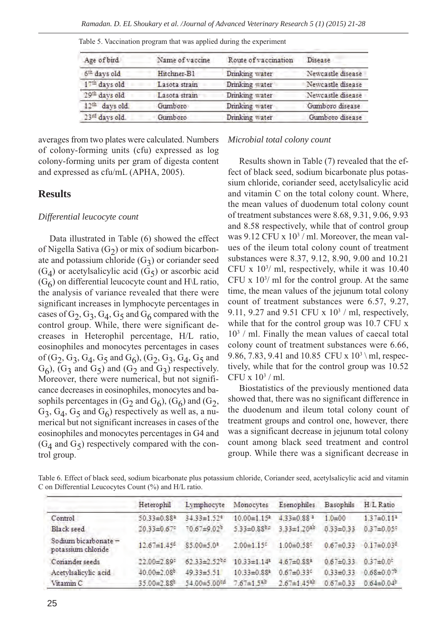| Age of bird                | Name of vaccine | Route of vaccination | Disease           |
|----------------------------|-----------------|----------------------|-------------------|
| 6th days old               | Hitchner-B1     | Drinking water       | Newcastle disease |
| 17 <sup>th</sup> days old  | Lasota strain   | Drinking water       | Newcastle disease |
| 29th days old              | Lasota strain   | Drinking water       | Newcastle disease |
| 12 <sup>th</sup> days old. | Gumboro         | Drinking water       | Gumboro disease   |
| 23rd days old.             | Gumboro         | Drinking water       | Gumboro disease   |
|                            |                 |                      |                   |

Table 5. Vaccination program that was applied during the experiment

averages from two plates were calculated. Numbers of colony-forming units (cfu) expressed as log colony-forming units per gram of digesta content and expressed as cfu/mL (APHA, 2005).

### **Results**

#### *Differential leucocyte count*

Data illustrated in Table (6) showed the effect of Nigella Sativa  $(G<sub>2</sub>)$  or mix of sodium bicarbonate and potassium chloride  $(G<sub>3</sub>)$  or coriander seed  $(G_4)$  or acetylsalicylic acid  $(G_5)$  or ascorbic acid  $(G<sub>6</sub>)$  on differential leucocyte count and H\L ratio, the analysis of variance revealed that there were significant increases in lymphocyte percentages in cases of  $G_2$ ,  $G_3$ ,  $G_4$ ,  $G_5$  and  $G_6$  compared with the control group. While, there were significant decreases in Heterophil percentage, H/L ratio, eosinophiles and monocytes percentages in cases of  $(G_2, G_3, G_4, G_5 \text{ and } G_6)$ ,  $(G_2, G_3, G_4, G_5 \text{ and } G_6)$  $G<sub>6</sub>$ ,  $(G<sub>3</sub>$  and  $G<sub>5</sub>)$  and  $(G<sub>2</sub>)$  and  $G<sub>3</sub>)$  respectively. Moreover, there were numerical, but not significance decreases in eosinophiles, monocytes and basophils percentages in  $(G_2 \text{ and } G_6)$ ,  $(G_6)$  and  $(G_2,$  $G_3$ ,  $G_4$ ,  $G_5$  and  $G_6$ ) respectively as well as, a numerical but not significant increases in cases of the eosinophiles and monocytes percentages in G4 and  $(G_4$  and  $G_5)$  respectively compared with the control group.

#### *Microbial total colony count*

Results shown in Table (7) revealed that the effect of black seed, sodium bicarbonate plus potassium chloride, coriander seed, acetylsalicylic acid and vitamin C on the total colony count. Where, the mean values of duodenum total colony count of treatment substances were 8.68, 9.31, 9.06, 9.93 and 8.58 respectively, while that of control group was  $9.12$  CFU x  $10<sup>3</sup>$  / ml. Moreover, the mean values of the ileum total colony count of treatment substances were 8.37, 9.12, 8.90, 9.00 and 10.21 CFU x 103 / ml, respectively, while it was 10.40 CFU  $x$  10<sup>3</sup>/ ml for the control group. At the same time, the mean values of the jejunum total colony count of treatment substances were 6.57, 9.27, 9.11, 9.27 and 9.51 CFU x  $10<sup>3</sup>$  / ml, respectively, while that for the control group was 10.7 CFU x  $10<sup>3</sup>$  / ml. Finally the mean values of caecal total colony count of treatment substances were 6.66, 9.86, 7.83, 9.41 and 10.85 CFU x  $10^3 \text{ }$ ml, respectively, while that for the control group was 10.52 CFU x 103 / ml.

Biostatistics of the previously mentioned data showed that, there was no significant difference in the duodenum and ileum total colony count of treatment groups and control one, however, there was a significant decrease in jejunum total colony count among black seed treatment and control group. While there was a significant decrease in

Table 6. Effect of black seed, sodium bicarbonate plus potassium chloride, Coriander seed, acetylsalicylic acid and vitamin C on Differential Leucocytes Count (%) and H/L ratio.

|                                                | Heterophil                    | Lymphocyte                    | Monocytes                     | Esenophiles                   | Basophils       | H L Ratio                    |
|------------------------------------------------|-------------------------------|-------------------------------|-------------------------------|-------------------------------|-----------------|------------------------------|
| Control                                        | $50.33 \pm 0.88$ <sup>a</sup> | $34.33 \pm 1.52$ <sup>e</sup> | $10.00 \pm 1.15^*$            | $4.33 \pm 0.88$ <sup>3</sup>  | $1.0 \pm 0.0$   | $1.37 \pm 0.11^2$            |
| Black seed                                     | $20.33 \pm 0.67$              | $70.67 + 9.02b$               | $5.33 \pm 0.88$ <sup>be</sup> | $3.33 \pm 1.20$ <sup>20</sup> | $0.33 \pm 0.33$ | $0.37 \pm 0.059$             |
| Sodium bicarbonate $\pm$<br>potassium chloride | $12.67 \pm 1.45$ <sup>d</sup> | $$5.00 = 5.02$                | $2.00 \pm 1.15$               | $1.00 \pm 0.58$               | $0.67 \pm 0.33$ | $0.17 \pm 0.03$ <sup>d</sup> |
| Conander seeds                                 | $22.00 \pm 2.89$              | $62.33 \pm 2.52$              | $10.33 \pm 1.14$ <sup>3</sup> | $4.67 \pm 0.88$ <sup>2</sup>  | $0.67 \pm 0.33$ | $0.37 \pm 0.05$              |
| Acetylsalicylic acid                           | $40.00 \pm 2.08^{\circ}$      | $49.33 \pm 5.51$              | $10.33 \pm 0.88$ <sup>*</sup> | $0.67 \pm 0.33$               | $0.33 \pm 0.33$ | $0.68 \pm 0.07$              |
| Vitamin <sub>C</sub>                           | $35.00 \pm 2.88^{\circ}$      | 54 00±5 00°4                  | $7.67 \pm 1.540$              | $2.67 \pm 1.45$ <sup>32</sup> | $0.67 = 0.33$   | $0.64 \pm 0.04^{\circ}$      |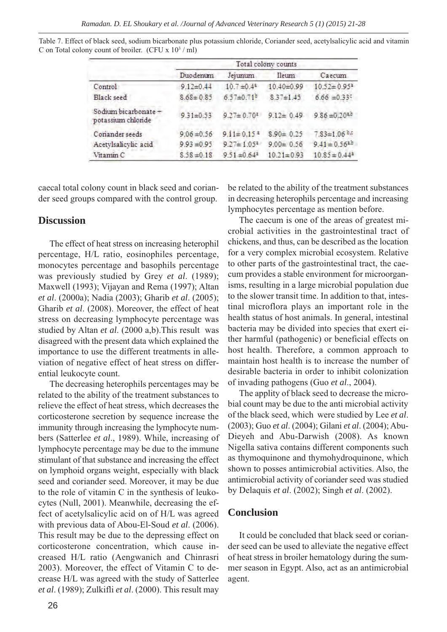|                                            | Total colony counts |                              |                  |                                |  |
|--------------------------------------------|---------------------|------------------------------|------------------|--------------------------------|--|
|                                            | Duodenum            | Jejunum                      | Ileum            | Caecum                         |  |
| Control                                    | $9.12 \pm 0.44$     | $10.7 \pm 0.4$ <sup>4</sup>  | $10.40 - 0.99$   | $10.52 \pm 0.95^*$             |  |
| Black seed                                 | $8.68 \pm 0.85$     | $6.57 \pm 0.71$ <sup>b</sup> | $8.37 \pm 1.45$  | $6.66 = 0.335$                 |  |
| Sodium bicarbonate +<br>potassium chloride | $9.31 \pm 0.53$     | $9.27 \pm 0.70$ <sup>z</sup> | $9.12 \pm 0.49$  | $9.86 = 0.20$ <sup>a,b</sup>   |  |
| Conander seeds                             | $9.06 \pm 0.56$     | $9.11 \pm 0.15$ <sup>3</sup> | $8.90 \pm 0.25$  | $7.83 \pm 1.06$ e.c.           |  |
| Acetylsalicylic acid                       | $9.93 = 0.95$       | $9.27 \pm 1.05^2$            | $9.00 \pm 0.56$  | $9.41 \pm 0.56$ <sup>a.b</sup> |  |
| Vitamin C                                  | $8.58 \pm 0.18$     | $9.51 \pm 0.64$ <sup>2</sup> | $10.21 \pm 0.93$ | $10.85 \pm 0.44^2$             |  |

Table 7. Effect of black seed, sodium bicarbonate plus potassium chloride, Coriander seed, acetylsalicylic acid and vitamin C on Total colony count of broiler. (CFU x  $10^3 /$  ml)

caecal total colony count in black seed and coriander seed groups compared with the control group.

## **Discussion**

The effect of heat stress on increasing heterophil percentage, H/L ratio, eosinophiles percentage, monocytes percentage and basophils percentage was previously studied by Grey *et al*. (1989); Maxwell (1993); Vijayan and Rema (1997); Altan *et al*. (2000a); Nadia (2003); Gharib *et al*. (2005); Gharib *et al*. (2008). Moreover, the effect of heat stress on decreasing lymphocyte percentage was studied by Altan *et al*. (2000 a,b).This result was disagreed with the present data which explained the importance to use the different treatments in alleviation of negative effect of heat stress on differential leukocyte count.

The decreasing heterophils percentages may be related to the ability of the treatment substances to relieve the effect of heat stress, which decreases the corticosterone secretion by sequence increase the immunity through increasing the lymphocyte numbers (Satterlee *et al*., 1989). While, increasing of lymphocyte percentage may be due to the immune stimulant of that substance and increasing the effect on lymphoid organs weight, especially with black seed and coriander seed. Moreover, it may be due to the role of vitamin C in the synthesis of leukocytes (Null, 2001). Meanwhile, decreasing the effect of acetylsalicylic acid on of H/L was agreed with previous data of Abou-El-Soud *et al*. (2006). This result may be due to the depressing effect on corticosterone concentration, which cause increased H/L ratio (Aengwanich and Chinrasri 2003). Moreover, the effect of Vitamin C to decrease H/L was agreed with the study of Satterlee *et al*. (1989); Zulkifli *et al*. (2000). This result may

be related to the ability of the treatment substances in decreasing heterophils percentage and increasing lymphocytes percentage as mention before.

The caecum is one of the areas of greatest microbial activities in the gastrointestinal tract of chickens, and thus, can be described as the location for a very complex microbial ecosystem. Relative to other parts of the gastrointestinal tract, the caecum provides a stable environment for microorganisms, resulting in a large microbial population due to the slower transit time. In addition to that, intestinal microflora plays an important role in the health status of host animals. In general, intestinal bacteria may be divided into species that exert either harmful (pathogenic) or beneficial effects on host health. Therefore, a common approach to maintain host health is to increase the number of desirable bacteria in order to inhibit colonization of invading pathogens (Guo *et al*., 2004).

The applity of black seed to decrease the microbial count may be due to the anti microbial activity of the black seed, which were studied by Lee *et al*. (2003); Guo *et al*. (2004); Gilani *et al*. (2004); Abu-Dieyeh and Abu-Darwish (2008). As known Nigella sativa contains different components such as thymoquinone and thymohydroquinone, which shown to posses antimicrobial activities. Also, the antimicrobial activity of coriander seed was studied by Delaquis *et al*. (2002); Singh *et al*. (2002).

## **Conclusion**

It could be concluded that black seed or coriander seed can be used to alleviate the negative effect of heat stress in broiler hematology during the summer season in Egypt. Also, act as an antimicrobial agent.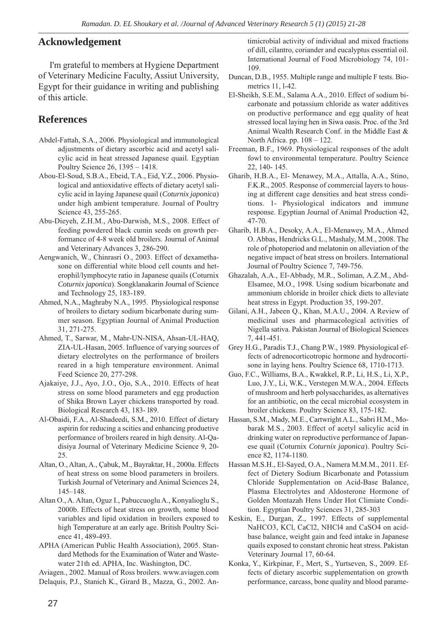# **Acknowledgement**

I'm grateful to members at Hygiene Department of Veterinary Medicine Faculty, Assiut University, Egypt for their guidance in writing and publishing of this article.

# **References**

- Abdel-Fattah, S.A., 2006. Physiological and immunological adjustments of dietary ascorbic acid and acetyl salicylic acid in heat stressed Japanese quail. Egyptian Poultry Science 26, 1395 – 1418.
- Abou-El-Soud, S.B.A., Ebeid, T.A., Eid, Y.Z., 2006. Physiological and antioxidative effects of dietary acetyl salicylic acid in laying Japanese quail (*Coturnix japonica*) under high ambient temperature. Journal of Poultry Science 43, 255-265.
- Abu-Dieyeh, Z.H.M., Abu-Darwish, M.S., 2008. Effect of feeding powdered black cumin seeds on growth performance of 4-8 week old broilers. Journal of Animal and Veterinary Advances 3, 286-290.
- Aengwanich, W., Chinrasri O., 2003. Effect of dexamethasone on differential white blood cell counts and heterophil/lymphocyte ratio in Japanese quails (Coturnix *Coturnix japonica*). Songklanakarin Journal of Science and Technology 25, 183-189.
- Ahmed, N.A., Maghraby N.A., 1995. Physiological response of broilers to dietary sodium bicarbonate during summer season. Egyptian Journal of Animal Production 31, 271-275.
- Ahmed, T., Sarwar, M., Mahr-UN-NISA, Ahsan-UL-HAQ, ZIA-UL-Hasan, 2005. Influence of varying sources of dietary electrolytes on the performance of broilers reared in a high temperature environment. Animal Feed Science 20, 277-298.
- Ajakaiye, J.J., Ayo, J.O., Ojo, S.A., 2010. Effects of heat stress on some blood parameters and egg production of Shika Brown Layer chickens transported by road. Biological Research 43, 183- l89.
- Al-Obaidi, F.A., Al-Shadeedi, S.M., 2010. Effect of dietary aspirin for reducing a scities and enhancing produetive performance of broilers reared in high density. Al-Qadisiya Journal of Veterinary Medicine Science 9, 20- 25.
- Altan, O., Altan, A., Çabuk, M., Bayraktar, H., 2000a. Effects of heat stress on some blood parameters in broilers. Turkish Journal of Veterinary and Animal Sciences 24, 145–148.
- Altan O., A. Altan, Oguz I., Pabuccuoglu A., Konyalioglu S., 2000b. Effects of heat stress on growth, some blood variables and lipid oxidation in broilers exposed to high Temperature at an early age. British Poultry Science 41, 489-493.
- APHA (American Public Health Association), 2005. Standard Methods for the Examination of Water and Wastewater 21th ed. APHA, Inc. Washington, DC.

Aviagen., 2002. Manual of Ross broilers. www.aviagen.com

Delaquis, P.J., Stanich K., Girard B., Mazza, G., 2002. An-

timicrobial activity of individual and mixed fractions of dill, cilantro, coriander and eucalyptus essential oil. International Journal of Food Microbiology 74, 101- 109.

- Duncan, D.B., 1955. Multiple range and multiple F tests. Biometrics 11, l-42.
- El-Sheikh, S.E.M., Salama A.A., 2010. Effect of sodium bicarbonate and potassium chloride as water additives on productive performance and egg quality of heat stressed local laying hen in Siwa oasis. Proc. of the 3rd Animal Wealth Research Conf. in the Middle East & North Africa. pp. 108 – 122.
- Freeman, B.F., 1969. Physiological responses of the adult fowl to environmental temperature. Poultry Science 22, 140- 145.
- Gharib, H.B.A., El- Menawey, M.A., Attalla, A.A., Stino, F.K.R., 2005. Response of commercial layers to housing at different cage densities and heat stress conditions. 1- Physiological indicators and immune response. Egyptian Journal of Animal Production 42, 47-70.
- Gharib, H.B.A., Desoky, A.A., El-Menawey, M.A., Ahmed O. Abbas, Hendricks G.L., Mashaly, M.M., 2008. The role of photoperiod and melatonin on alleviation of the negative impact of heat stress on broilers. International Journal of Poultry Science 7, 749-756.
- Ghazalah, A.A., EI-Abbady, M.R., Soliman, A.Z.M., Abd-Elsamee, M.O., 1998. Using sodium bicarbonate and ammonium chloride in broiler chick diets to alleviate heat stress in Egypt. Production 35, 199-207.
- Gilani, A.H., Jabeen Q., Khan, M.A.U., 2004. A Review of medicinal uses and pharmacological activities of Nigella sativa. Pakistan Journal of Biological Sciences 7, 441-451.
- Grey H.G., Paradis T.J., Chang P.W., 1989. Physiological effects of adrenocorticotropic hormone and hydrocortisone in laying hens. Poultry Science 68, 1710-1713.
- Guo, F.C., Williams, B.A., Kwakkel, R.P., Li, H.S., Li, X.P., Luo, J.Y., Li, W.K., Verstegen M.W.A., 2004. Effects of mushroom and herb polysaccharides, as alternatives for an antibiotic, on the cecal microbial ecosystem in broiler chickens. Poultry Science 83, 175-182.
- Hassan, S.M., Mady, M.E., Cartwright A.L., Sabri H.M., Mobarak M.S., 2003. Effect of acetyl salicylic acid in drinking water on reproductive performance of Japanese quail (Coturnix *Coturnix japonica*). Poultry Science 82, 1174-1180.
- Hassan M.S.H., El-Sayed, O.A., Namera M.M.M., 2011. Effect of Dietery Sodium Bicarbonate and Potassium Chloride Supplementation on Acid-Base Balance, Plasma Electrolytes and Aldosterone Hormone of Golden Montazah Hens Under Hot Climiate Condition. Egyptian Poultry Sciences 31, 285-303
- Keskin, E., Durgan, Z., 1997. Effects of supplemental NaHCO3, KCl, CaCl2, NHCl4 and CaSO4 on acidbase balance, weight gain and feed intake in Japanese quails exposed to constant chronic heat stress. Pakistan Veterinary Journal 17, 60-64.
- Konka, Y., Kirkpinar, F., Mert, S., Yurtseven, S., 2009. Effects of dietary ascorbic supplementation on growth performance, carcass, bone quality and blood parame-